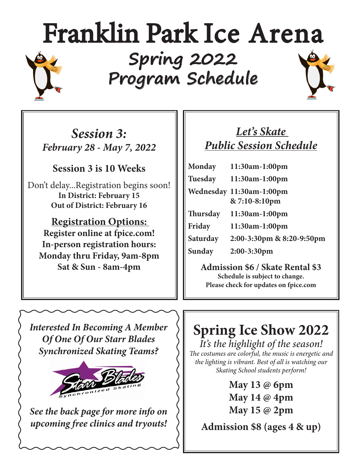# Franklin Park Ice Arena **Spring 2022 Program Schedule**

*Session 3: February 28 - May 7, 2022*

## **Session 3 is 10 Weeks**

Don't delay...Registration begins soon! **In District: February 15 Out of District: February 16**

**Registration Options: Register online at fpice.com! In-person registration hours: Monday thru Friday, 9am-8pm Sat & Sun - 8am-4pm**

## *Let's Skate Public Session Schedule*

| Monday          | 11:30am-1:00pm            |
|-----------------|---------------------------|
| <b>Tuesday</b>  | 11:30am-1:00pm            |
|                 | Wednesday 11:30am-1:00pm  |
|                 | & 7:10-8:10pm             |
| <b>Thursday</b> | $11:30am-1:00pm$          |
| Friday          | 11:30am-1:00pm            |
| Saturday        | 2:00-3:30pm & 8:20-9:50pm |
| Sunday          | 2:00-3:30pm               |
|                 |                           |

**Admission \$6 / Skate Rental \$3 Schedule is subject to change. Please check for updates on fpice.com**

*Interested In Becoming A Member Of One Of Our Starr Blades Synchronized Skating Teams?*



*See the back page for more info on upcoming free clinics and tryouts!*

## **Spring Ice Show 2022**

*It's the highlight of the season! The costumes are colorful, the music is energetic and the lighting is vibrant. Best of all is watching our Skating School students perform!*

> **May 13 @ 6pm May 14 @ 4pm May 15 @ 2pm**

**Admission \$8 (ages 4 & up)**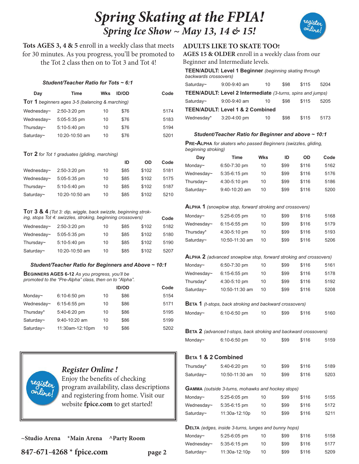## *Spring Skating at the FPIA! Spring Ice Show ~ May 13, 14 & 15!*



**Tots AGES 3, 4 & 5** enroll in a weekly class that meets for 30 minutes. As you progress, you'll be promoted to the Tot 2 class then on to Tot 3 and Tot 4!

#### *Student/Teacher Ratio for Tots ~ 6:1*

| Dav                                                    | Time           | Wks | <b>ID/OD</b> | Code |
|--------------------------------------------------------|----------------|-----|--------------|------|
| <b>TOT 1</b> beginners ages 3-5 (balancing & marching) |                |     |              |      |
| Wednesday~                                             | $2:50-3:20$ pm | 10  | \$76         | 5174 |
| Wednesday~                                             | 5:05-5:35 pm   | 10  | \$76         | 5183 |
| Thursday~                                              | 5:10-5:40 pm   | 10  | \$76         | 5194 |
| Saturday~                                              | 10:20-10:50 am | 10  | \$76         | 5201 |

#### **Tot 2** *for Tot 1 graduates (gliding, marching)*

|                 |                |    | ID   | OD    | Code |
|-----------------|----------------|----|------|-------|------|
| Wednesday~      | 2:50-3:20 pm   | 10 | \$85 | \$102 | 5181 |
| Wednesday~      | 5:05-5:35 pm   | 10 | \$85 | \$102 | 5175 |
| Thursday $\sim$ | 5:10-5:40 pm   | 10 | \$85 | \$102 | 5187 |
| Saturday~       | 10:20-10:50 am | 10 | \$85 | \$102 | 5210 |

**Tot 3 & 4** *(Tot 3: dip, wiggle, back swizzle, beginning stroking, stops Tot 4: swizzles, stroking, beginning crossovers)* **Code** 

| Wednesday~ | $2:50-3:20$ pm | 10 | \$85 | \$102 | 5182 |
|------------|----------------|----|------|-------|------|
| Wednesday~ | $5:05-5:35$ pm | 10 | \$85 | \$102 | 5180 |
| Thursday~  | 5:10-5:40 pm   | 10 | \$85 | \$102 | 5190 |
| Saturday~  | 10:20-10:50 am | 10 | \$85 | \$102 | 5207 |

#### *Student/Teacher Ratio for Beginners and Above ~ 10:1*

#### **Beginners AGES 6-12** *As you progress, you'll be promoted to the "Pre-Alpha" class, then on to "Alpha".*

|            |                 |    | <b>ID/OD</b> | Code |
|------------|-----------------|----|--------------|------|
| Monday~    | 6:10-6:50 pm    | 10 | \$86         | 5154 |
| Wednesday~ | $6:15-6:55$ pm  | 10 | \$86         | 5171 |
| Thursday*  | 5:40-6:20 pm    | 10 | \$86         | 5195 |
| Saturday~  | $9:40-10:20$ am | 10 | \$86         | 5199 |
| Saturday~  | 11:30am-12:10pm | 10 | \$86         | 5202 |



#### *Register Online !*

Enjoy the benefits of checking program availability, class descriptions and registering from home. Visit our website **fpice.com** to get started!

**~Studio Arena \*Main Arena ^Party Room**

**847-671-4268 \* fpice.com page 2**

#### **ADULTS LIKE TO SKATE TOO!**

**AGES 15 & OLDER** enroll in a weekly class from our Beginner and Intermediate levels.

| backwards crossovers)                       | TEEN/ADULT: Level 1 Beginner (beginning skating through            |    |      |       |      |  |
|---------------------------------------------|--------------------------------------------------------------------|----|------|-------|------|--|
| Saturday~                                   | $9:00-9:40$ am                                                     | 10 | \$98 | \$115 | 5204 |  |
|                                             | <b>TEEN/ADULT: Level 2 Intermediate</b> (3-turns, spins and jumps) |    |      |       |      |  |
| Saturday~                                   | $9:00-9:40$ am                                                     | 10 | \$98 | \$115 | 5205 |  |
| <b>TEEN/ADULT: Level 1 &amp; 2 Combined</b> |                                                                    |    |      |       |      |  |
| Wednesday*                                  | $3:20-4:00$ pm                                                     | 10 | \$98 | \$115 | 5173 |  |

#### *Student/Teacher Ratio for Beginner and above ~ 10:1*

**Pre-Alpha** *for skaters who passed Beginners (swizzles, gliding, beginning stroking)*

| Day        | Time          | Wks | ID   | OD    | Code |
|------------|---------------|-----|------|-------|------|
| Monday~    | 6:50-7:30 pm  | 10  | \$99 | \$116 | 5162 |
| Wednesday~ | 5:35-6:15 pm  | 10  | \$99 | \$116 | 5176 |
| Thursday~  | 4:30-5:10 pm  | 10  | \$99 | \$116 | 5186 |
| Saturday~  | 9:40-10:20 am | 10  | \$99 | \$116 | 5200 |

#### **Alpha 1** *(snowplow stop, forward stroking and crossovers)*

| Monday~    | $5:25-6:05$ pm | 10 | \$99 | \$116 | 5168 |
|------------|----------------|----|------|-------|------|
| Wednesday~ | $6:15-6:55$ pm | 10 | \$99 | \$116 | 5179 |
| Thursday*  | $4:30-5:10$ pm | 10 | \$99 | \$116 | 5193 |
| Saturday~  | 10:50-11:30 am | 10 | \$99 | \$116 | 5206 |

#### **Alpha 2** *(advanced snowplow stop, forward stroking and crossovers)*

| Monday~    | $6:50 - 7:30$ pm | 10 | \$99 | \$116 | 5161 |
|------------|------------------|----|------|-------|------|
| Wednesday~ | $6:15-6:55$ pm   | 10 | \$99 | \$116 | 5178 |
| Thursday*  | $4:30-5:10$ pm   | 10 | \$99 | \$116 | 5192 |
| Saturday~  | 10:50-11:30 am   | 10 | \$99 | \$116 | 5208 |
|            |                  |    |      |       |      |

#### **Beta 1** *(t-stops, back stroking and backward crossovers)*

| Monday~ | $6:10-6:50$ pm | \$99 | \$116 | 5160 |
|---------|----------------|------|-------|------|
|         |                |      |       |      |

|         | <b>BETA 2</b> (advanced t-stops, back stroking and backward crossovers) |    |      |       |      |
|---------|-------------------------------------------------------------------------|----|------|-------|------|
| Monday~ | $6:10-6:50$ pm                                                          | 10 | \$99 | \$116 | 5159 |

#### **Beta 1 & 2 Combined**

| Thursday*  | 5:40-6:20 pm                                                | 10 | \$99 | \$116 | 5189 |
|------------|-------------------------------------------------------------|----|------|-------|------|
| Saturday~  | 10:50-11:30 am                                              | 10 | \$99 | \$116 | 5203 |
|            |                                                             |    |      |       |      |
|            | GAMMA (outside 3-turns, mohawks and hockey stops)           |    |      |       |      |
| Monday~    | 5:25-6:05 pm                                                | 10 | \$99 | \$116 | 5155 |
| Wednesday~ | $5:35-6:15$ pm                                              | 10 | \$99 | \$116 | 5172 |
| Saturday~  | 11:30a-12:10p                                               | 10 | \$99 | \$116 | 5211 |
|            |                                                             |    |      |       |      |
|            | <b>DELTA</b> (edges, inside 3-turns, lunges and bunny hops) |    |      |       |      |
| Monday~    | 5:25-6:05 pm                                                | 10 | \$99 | \$116 | 5158 |
| Wednesday~ | 5:35-6:15 pm                                                | 10 | \$99 | \$116 | 5177 |
| Saturday~  | 11:30a-12:10p                                               | 10 | \$99 | \$116 | 5209 |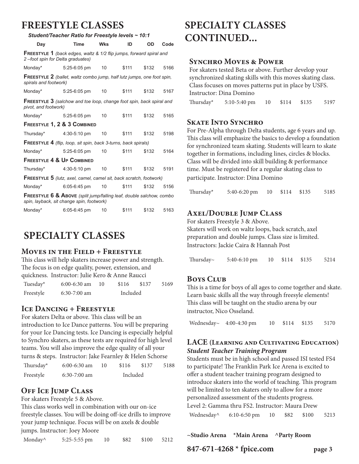### **FREESTYLE CLASSES**

| Student/Teacher Ratio for Freestyle levels ~ 10:1                                                                           |                                                                               |                 |       |       |      |
|-----------------------------------------------------------------------------------------------------------------------------|-------------------------------------------------------------------------------|-----------------|-------|-------|------|
| Day                                                                                                                         | Time                                                                          | <b>Wks</b>      | ID    | OD    | Code |
| 2-foot spin for Delta graduates)                                                                                            | <b>FREESTYLE 1</b> (back edges, waltz & 1/2 flip jumps, forward spiral and    |                 |       |       |      |
| Monday*                                                                                                                     | 5:25-6:05 pm                                                                  | 10              | \$111 | \$132 | 5166 |
| spirals and footwork)                                                                                                       | <b>FREESTYLE 2</b> (ballet, waltz combo jump, half lutz jumps, one foot spin, |                 |       |       |      |
| Monday*                                                                                                                     | 5:25-6:05 pm                                                                  | 10              | \$111 | \$132 | 5167 |
| <b>FREESTYLE 3</b> (salchow and toe loop, change foot spin, back spiral and<br>pivot, and footwork)                         |                                                                               |                 |       |       |      |
| Monday*                                                                                                                     | 5:25-6:05 pm                                                                  | 10              | \$111 | \$132 | 5165 |
|                                                                                                                             | FREESTYLE 1, 2 & 3 COMBINED                                                   |                 |       |       |      |
|                                                                                                                             | Thursday* $4:30-5:10 \text{ pm}$                                              | 10 <sup>1</sup> | \$111 | \$132 | 5198 |
| <b>FREESTYLE 4</b> (flip, loop, sit spin, back 3-turns, back spirals)                                                       |                                                                               |                 |       |       |      |
| Monday*                                                                                                                     | 5:25-6:05 pm                                                                  | 10              | \$111 | \$132 | 5164 |
| <b>FREESTYLE 4 &amp; UP COMBINED</b>                                                                                        |                                                                               |                 |       |       |      |
| Thursday* $4:30-5:10 \text{ pm}$                                                                                            |                                                                               | 10              | \$111 | \$132 | 5191 |
| <b>FREESTYLE 5</b> (lutz, axel, camel, camel sit, back scratch, footwork)                                                   |                                                                               |                 |       |       |      |
| Monday*                                                                                                                     | 6:05-6:45 pm                                                                  | 10              | \$111 | \$132 | 5156 |
| <b>FREESTYLE 6 &amp; ABOVE</b> (split jump/falling leaf, double salchow, combo<br>spin, layback, sit change spin, footwork) |                                                                               |                 |       |       |      |
| Monday*                                                                                                                     | 6:05-6:45 pm                                                                  | 10              | \$111 | \$132 | 5163 |

## **SPECIALTY CLASSES**

#### **Moves in the Field + Freestyle**

This class will help skaters increase power and strength. The focus is on edge quality, power, extension, and quickness. Instructor: Julie Kero & Anne Raucci

| Tuesday*  | $6:00-6:30$ am | $\overline{1}$ $\overline{0}$ | \$116    | \$137 | 5169 |
|-----------|----------------|-------------------------------|----------|-------|------|
| Freestyle | $6:30-7:00$ am |                               | Included |       |      |

#### **Ice Dancing + Freestyle**

For skaters Delta or above. This class will be an introduction to Ice Dance patterns. You will be preparing for your Ice Dancing tests. Ice Dancing is especially helpful to Synchro skaters, as these tests are required for high level teams. You will also improve the edge quality of all your turns & steps. Instructor: Jake Fearnley & Helen Schorse

| Thursday* | $6:00-6:30$ am | 10 | \$116    | \$137 | 5188 |
|-----------|----------------|----|----------|-------|------|
| Freestyle | $6:30-7:00$ am |    | Included |       |      |

#### **Off Ice Jump Class**

For skaters Freestyle 5 & Above.

This class works well in combination with our on-ice freestyle classes. You will be doing off-ice drills to improve your jump technique. Focus will be on axels & double jumps. Instructor: Joey Moore

| Monday^ | 5:25-5:55 pm |  |  | \$82 \$100 | 5212 |
|---------|--------------|--|--|------------|------|
|---------|--------------|--|--|------------|------|

## **SPECIALTY CLASSES CONTINUED...**

#### **Synchro Moves & Power**

For skaters tested Beta or above. Further develop your synchronized skating skills with this moves skating class. Class focuses on moves patterns put in place by USFS. Instructor: Dina Domino Thursday\* 5:10-5:40 pm 10 \$114 \$135 5197

#### **Skate Into Synchro**

For Pre-Alpha through Delta students, age 6 years and up. This class will emphasize the basics to develop a foundation for synchronized team skating. Students will learn to skate together in formations, including lines, circles & blocks. Class will be divided into skill building & performance time. Must be registered for a regular skating class to participate. Instructor: Dina Domino

Thursday\* 5:40-6:20 pm 10 \$114 \$135 5185

#### **Axel/Double Jump Class**

For skaters Freestyle 3 & Above. Skaters will work on waltz loops, back scratch, axel preparation and double jumps. Class size is limited. Instructors: Jackie Caira & Hannah Post

| Thursday~ | $5:40-6:10 \text{ pm}$ | 10 \$114 \$135 | 5214 |
|-----------|------------------------|----------------|------|
|           |                        |                |      |

#### **Boys Club**

This is a time for boys of all ages to come together and skate. Learn basic skills all the way through freesyle elements! This class will be taught on the studio arena by our instructor, Nico Osseland.

Wednesday~ 4:00-4:30 pm 10 \$114 \$135 5170

#### **LACE (Learning and Cultivating Education)** *Student Teacher Training Program*

Students must be in high school and passed ISI tested FS4 to participate! The Franklin Park Ice Arena is excited to offer a student teacher training program designed to introduce skaters into the world of teaching. This program will be limited to ten skaters only to allow for a more personalized assessment of the students progress.

Level 2: Gamma thru FS2. Instructor: Maura Drew Wednesday^ 6:10-6:50 pm 10 \$82 \$100 5213

**~Studio Arena \*Main Arena ^Party Room**

**847-671-4268 \* fpice.com page 3**